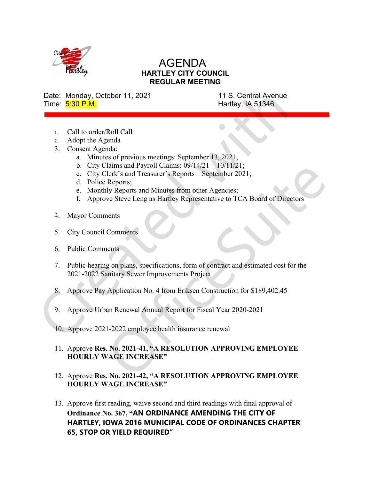

## AGENDA HARTLEY CITY COUNCIL REGULAR MEETING

Date: Monday, October 11, 2021 11 S. Central Avenue Time:  $\frac{5:30 \text{ P.M.}}{5:30 \text{ P.M.}}$ 

- 1. Call to order/Roll Call
- 2. Adopt the Agenda
- 3. Consent Agenda:
	- a. Minutes of previous meetings: September  $13, 2021$ ;
	- b. City Claims and Payroll Claims:  $09/14/21 10/11/21$ ;
	- c. City Clerk's and Treasurer's Reports September 2021;
	- d. Police Reports;
	- e. Monthly Reports and Minutes from other Agencies;
	- f. Approve Steve Leng as Hartley Representative to TCA Board of Directors
- 4. Mayor Comments
- 5. City Council Comments
- 6. Public Comments
- 7. Public hearing on plans, specifications, form of contract and estimated cost for the 2021-2022 Sanitary Sewer Improvements Project
- 8. Approve Pay Application No. 4 from Eriksen Construction for \$189,402.45
- 9. Approve Urban Renewal Annual Report for Fiscal Year 2020-2021
- 10. Approve 2021-2022 employee health insurance renewal

## 11. Approve Res. No. 2021-41, "A RESOLUTION APPROVING EMPLOYEE HOURLY WAGE INCREASE"

- 12. Approve Res. No. 2021-42, "A RESOLUTION APPROVING EMPLOYEE HOURLY WAGE INCREASE"
- 13. Approve first reading, waive second and third readings with final approval of Ordinance No. 367,"AN ORDINANCE AMENDING THE CITY OF HARTLEY, IOWA 2016 MUNICIPAL CODE OF ORDINANCES CHAPTER 65, STOP OR YIELD REQUIRED"